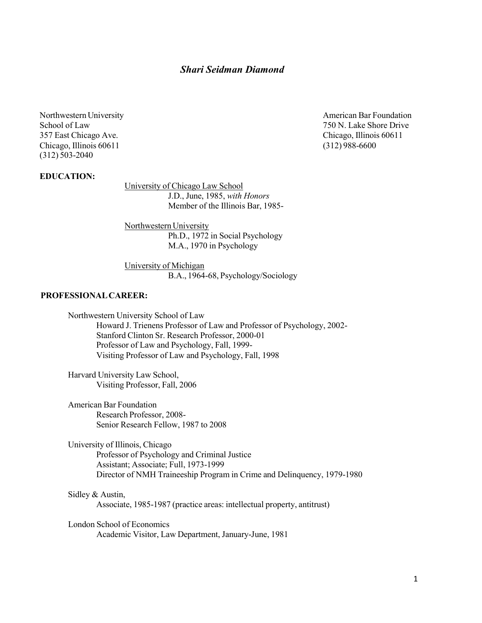# Shari Seidman Diamond

357 East Chicago Ave. Chicago, Illinois 60611 Chicago, Illinois 60611 (312) 988-6600 (312) 503-2040

Northwestern University **American Bar Foundation** School of Law 750 N. Lake Shore Drive 750 N. Lake Shore Drive

#### EDUCATION:

University of Chicago Law School J.D., June, 1985, with Honors Member of the Illinois Bar, 1985-

Northwestern University Ph.D., 1972 in Social Psychology M.A., 1970 in Psychology

University of Michigan B.A., 1964-68, Psychology/Sociology

### PROFESSIONAL CAREER:

Northwestern University School of Law Howard J. Trienens Professor of Law and Professor of Psychology, 2002- Stanford Clinton Sr. Research Professor, 2000-01 Professor of Law and Psychology, Fall, 1999- Visiting Professor of Law and Psychology, Fall, 1998

Harvard University Law School, Visiting Professor, Fall, 2006

American Bar Foundation Research Professor, 2008- Senior Research Fellow, 1987 to 2008

University of Illinois, Chicago Professor of Psychology and Criminal Justice Assistant; Associate; Full, 1973-1999 Director of NMH Traineeship Program in Crime and Delinquency, 1979-1980

Sidley & Austin, Associate, 1985-1987 (practice areas: intellectual property, antitrust)

London School of Economics Academic Visitor, Law Department, January-June, 1981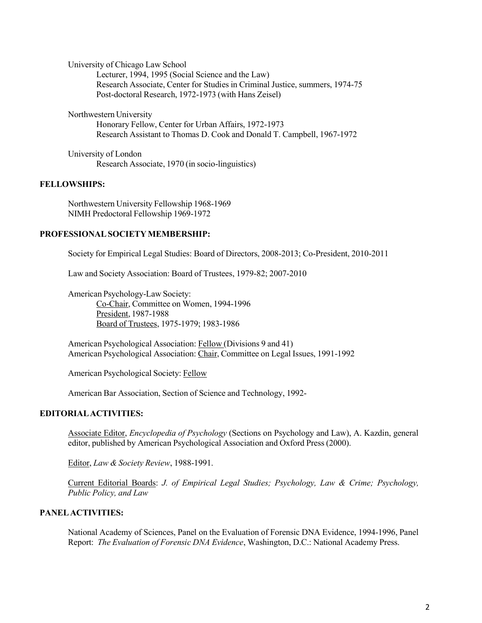University of Chicago Law School Lecturer, 1994, 1995 (Social Science and the Law) Research Associate, Center for Studies in Criminal Justice, summers, 1974-75 Post-doctoral Research, 1972-1973 (with Hans Zeisel)

Northwestern University

Honorary Fellow, Center for Urban Affairs, 1972-1973 Research Assistant to Thomas D. Cook and Donald T. Campbell, 1967-1972

University of London Research Associate, 1970 (in socio-linguistics)

#### FELLOWSHIPS:

Northwestern University Fellowship 1968-1969 NIMH Predoctoral Fellowship 1969-1972

### PROFESSIONAL SOCIETY MEMBERSHIP:

Society for Empirical Legal Studies: Board of Directors, 2008-2013; Co-President, 2010-2011

Law and Society Association: Board of Trustees, 1979-82; 2007-2010

American Psychology-Law Society: Co-Chair, Committee on Women, 1994-1996 President, 1987-1988 Board of Trustees, 1975-1979; 1983-1986

American Psychological Association: Fellow (Divisions 9 and 41) American Psychological Association: Chair, Committee on Legal Issues, 1991-1992

American Psychological Society: Fellow

American Bar Association, Section of Science and Technology, 1992-

#### EDITORIAL ACTIVITIES:

Associate Editor, Encyclopedia of Psychology (Sections on Psychology and Law), A. Kazdin, general editor, published by American Psychological Association and Oxford Press (2000).

Editor, Law & Society Review, 1988-1991.

Current Editorial Boards: J. of Empirical Legal Studies; Psychology, Law & Crime; Psychology, Public Policy, and Law

### PANEL ACTIVITIES:

National Academy of Sciences, Panel on the Evaluation of Forensic DNA Evidence, 1994-1996, Panel Report: The Evaluation of Forensic DNA Evidence, Washington, D.C.: National Academy Press.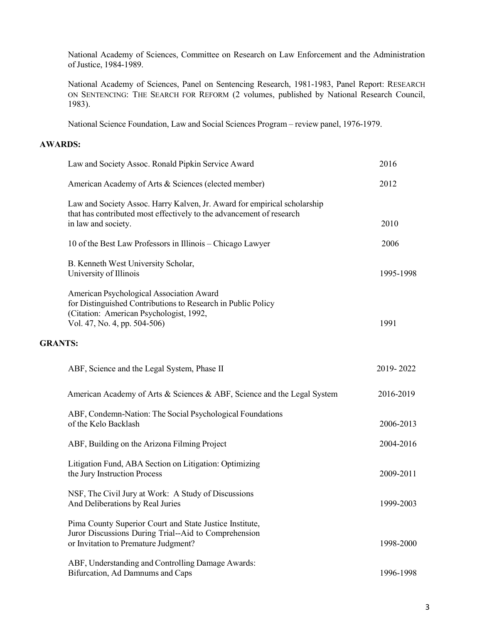National Academy of Sciences, Committee on Research on Law Enforcement and the Administration of Justice, 1984-1989.

National Academy of Sciences, Panel on Sentencing Research, 1981-1983, Panel Report: RESEARCH ON SENTENCING: THE SEARCH FOR REFORM (2 volumes, published by National Research Council, 1983).

National Science Foundation, Law and Social Sciences Program – review panel, 1976-1979.

### AWARDS:

|                | Law and Society Assoc. Ronald Pipkin Service Award                                                                                                                                  | 2016      |
|----------------|-------------------------------------------------------------------------------------------------------------------------------------------------------------------------------------|-----------|
|                | American Academy of Arts & Sciences (elected member)                                                                                                                                | 2012      |
|                | Law and Society Assoc. Harry Kalven, Jr. Award for empirical scholarship<br>that has contributed most effectively to the advancement of research<br>in law and society.             | 2010      |
|                | 10 of the Best Law Professors in Illinois - Chicago Lawyer                                                                                                                          | 2006      |
|                | B. Kenneth West University Scholar,<br>University of Illinois                                                                                                                       | 1995-1998 |
| <b>GRANTS:</b> | American Psychological Association Award<br>for Distinguished Contributions to Research in Public Policy<br>(Citation: American Psychologist, 1992,<br>Vol. 47, No. 4, pp. 504-506) | 1991      |
|                | ABF, Science and the Legal System, Phase II                                                                                                                                         | 2019-2022 |
|                | American Academy of Arts & Sciences & ABF, Science and the Legal System                                                                                                             | 2016-2019 |
|                | ABF, Condemn-Nation: The Social Psychological Foundations<br>of the Kelo Backlash                                                                                                   | 2006-2013 |
|                | ABF, Building on the Arizona Filming Project                                                                                                                                        | 2004-2016 |
|                | Litigation Fund, ABA Section on Litigation: Optimizing<br>the Jury Instruction Process                                                                                              | 2009-2011 |
|                | NSF, The Civil Jury at Work: A Study of Discussions<br>And Deliberations by Real Juries                                                                                             | 1999-2003 |
|                | Pima County Superior Court and State Justice Institute,<br>Juror Discussions During Trial--Aid to Comprehension<br>or Invitation to Premature Judgment?                             | 1998-2000 |
|                | ABF, Understanding and Controlling Damage Awards:<br>Bifurcation, Ad Damnums and Caps                                                                                               | 1996-1998 |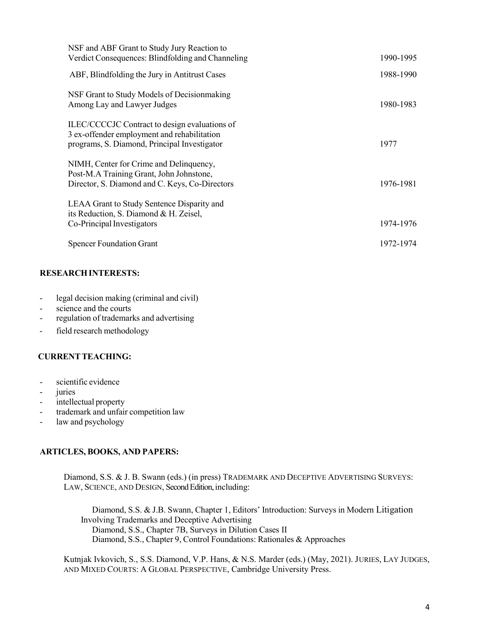| NSF and ABF Grant to Study Jury Reaction to<br>Verdict Consequences: Blindfolding and Channeling                                             | 1990-1995 |
|----------------------------------------------------------------------------------------------------------------------------------------------|-----------|
| ABF, Blindfolding the Jury in Antitrust Cases                                                                                                | 1988-1990 |
| NSF Grant to Study Models of Decision making<br>Among Lay and Lawyer Judges                                                                  | 1980-1983 |
| ILEC/CCCCIC Contract to design evaluations of<br>3 ex-offender employment and rehabilitation<br>programs, S. Diamond, Principal Investigator | 1977      |
| NIMH, Center for Crime and Delinquency,<br>Post-M.A Training Grant, John Johnstone,<br>Director, S. Diamond and C. Keys, Co-Directors        | 1976-1981 |
| LEAA Grant to Study Sentence Disparity and<br>its Reduction, S. Diamond & H. Zeisel,<br>Co-Principal Investigators                           | 1974-1976 |
| <b>Spencer Foundation Grant</b>                                                                                                              | 1972-1974 |

## RESEARCH INTERESTS:

- legal decision making (criminal and civil)
- science and the courts
- regulation of trademarks and advertising
- field research methodology

## CURRENT TEACHING:

- scientific evidence
- juries
- intellectual property
- trademark and unfair competition law
- law and psychology

### ARTICLES, BOOKS, AND PAPERS:

Diamond, S.S. & J. B. Swann (eds.) (in press) TRADEMARK AND DECEPTIVE ADVERTISING SURVEYS: LAW, SCIENCE, AND DESIGN, Second Edition, including:

Diamond, S.S. & J.B. Swann, Chapter 1, Editors' Introduction: Surveys in Modern Litigation Involving Trademarks and Deceptive Advertising Diamond, S.S., Chapter 7B, Surveys in Dilution Cases II Diamond, S.S., Chapter 9, Control Foundations: Rationales & Approaches

Kutnjak Ivkovich, S., S.S. Diamond, V.P. Hans, & N.S. Marder (eds.) (May, 2021). JURIES, LAY JUDGES, AND MIXED COURTS: A GLOBAL PERSPECTIVE, Cambridge University Press.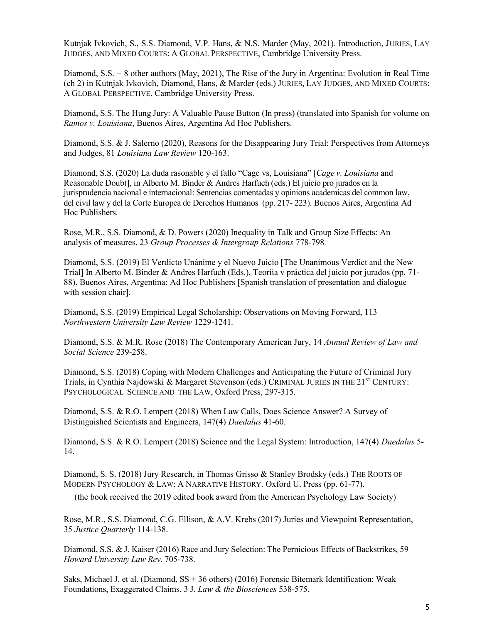Kutnjak Ivkovich, S., S.S. Diamond, V.P. Hans, & N.S. Marder (May, 2021). Introduction, JURIES, LAY JUDGES, AND MIXED COURTS: A GLOBAL PERSPECTIVE, Cambridge University Press.

Diamond, S.S. + 8 other authors (May, 2021), The Rise of the Jury in Argentina: Evolution in Real Time (ch 2) in Kutnjak Ivkovich, Diamond, Hans, & Marder (eds.) JURIES, LAY JUDGES, AND MIXED COURTS: A GLOBAL PERSPECTIVE, Cambridge University Press.

Diamond, S.S. The Hung Jury: A Valuable Pause Button (In press) (translated into Spanish for volume on Ramos v. Louisiana, Buenos Aires, Argentina Ad Hoc Publishers.

Diamond, S.S. & J. Salerno (2020), Reasons for the Disappearing Jury Trial: Perspectives from Attorneys and Judges, 81 Louisiana Law Review 120-163.

Diamond, S.S. (2020) La duda rasonable y el fallo "Cage vs, Louisiana" [Cage v. Louisiana and Reasonable Doubt], in Alberto M. Binder & Andres Harfuch (eds.) El juicio pro jurados en la jurisprudencia nacional e internacional: Sentencias comentadas y opinions academicas del common law, del civil law y del la Corte Europea de Derechos Humanos (pp. 217- 223). Buenos Aires, Argentina Ad Hoc Publishers.

Rose, M.R., S.S. Diamond, & D. Powers (2020) Inequality in Talk and Group Size Effects: An analysis of measures, 23 Group Processes & Intergroup Relations 778-798.

Diamond, S.S. (2019) El Verdicto Unánime y el Nuevo Juicio [The Unanimous Verdict and the New Trial] In Alberto M. Binder & Andres Harfuch (Eds.), Teoríia v práctica del juicio por jurados (pp. 71- 88). Buenos Aires, Argentina: Ad Hoc Publishers [Spanish translation of presentation and dialogue with session chair].

Diamond, S.S. (2019) Empirical Legal Scholarship: Observations on Moving Forward, 113 Northwestern University Law Review 1229-1241.

Diamond, S.S. & M.R. Rose (2018) The Contemporary American Jury, 14 Annual Review of Law and Social Science 239-258.

Diamond, S.S. (2018) Coping with Modern Challenges and Anticipating the Future of Criminal Jury Trials, in Cynthia Najdowski & Margaret Stevenson (eds.) CRIMINAL JURIES IN THE 21<sup>ST</sup> CENTURY: PSYCHOLOGICAL SCIENCE AND THE LAW, Oxford Press, 297-315.

Diamond, S.S. & R.O. Lempert (2018) When Law Calls, Does Science Answer? A Survey of Distinguished Scientists and Engineers, 147(4) Daedalus 41-60.

Diamond, S.S. & R.O. Lempert (2018) Science and the Legal System: Introduction, 147(4) Daedalus 5-14.

Diamond, S. S. (2018) Jury Research, in Thomas Grisso & Stanley Brodsky (eds.) THE ROOTS OF MODERN PSYCHOLOGY & LAW: A NARRATIVE HISTORY. Oxford U. Press (pp. 61-77).

(the book received the 2019 edited book award from the American Psychology Law Society)

Rose, M.R., S.S. Diamond, C.G. Ellison, & A.V. Krebs (2017) Juries and Viewpoint Representation, 35 Justice Quarterly 114-138.

Diamond, S.S. & J. Kaiser (2016) Race and Jury Selection: The Pernicious Effects of Backstrikes, 59 Howard University Law Rev. 705-738.

 Saks, Michael J. et al. (Diamond, SS + 36 others) (2016) Forensic Bitemark Identification: Weak Foundations, Exaggerated Claims, 3 J. Law & the Biosciences 538-575.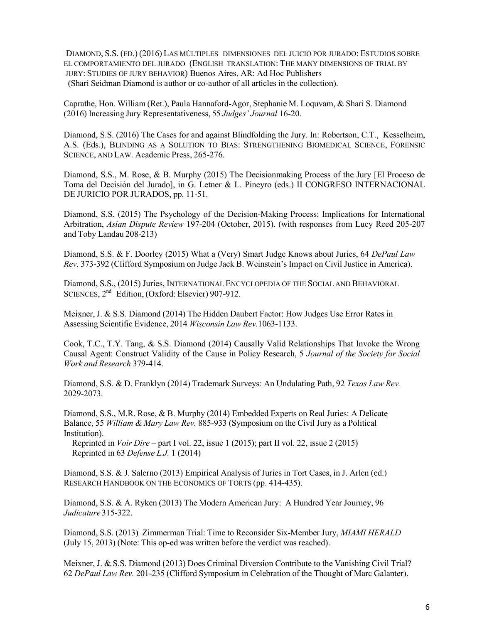DIAMOND, S.S. (ED.) (2016) LAS MÚLTIPLES DIMENSIONES DEL JUICIO POR JURADO: ESTUDIOS SOBRE EL COMPORTAMIENTO DEL JURADO (ENGLISH TRANSLATION: THE MANY DIMENSIONS OF TRIAL BY JURY: STUDIES OF JURY BEHAVIOR) Buenos Aires, AR: Ad Hoc Publishers (Shari Seidman Diamond is author or co-author of all articles in the collection).

Caprathe, Hon. William (Ret.), Paula Hannaford-Agor, Stephanie M. Loquvam, & Shari S. Diamond (2016) Increasing Jury Representativeness, 55 Judges' Journal 16-20.

Diamond, S.S. (2016) The Cases for and against Blindfolding the Jury. In: Robertson, C.T., Kesselheim, A.S. (Eds.), BLINDING AS A SOLUTION TO BIAS: STRENGTHENING BIOMEDICAL SCIENCE, FORENSIC SCIENCE, AND LAW. Academic Press, 265-276.

Diamond, S.S., M. Rose, & B. Murphy (2015) The Decisionmaking Process of the Jury [El Proceso de Toma del Decisión del Jurado], in G. Letner & L. Pineyro (eds.) II CONGRESO INTERNACIONAL DE JURICIO POR JURADOS, pp. 11-51.

Diamond, S.S. (2015) The Psychology of the Decision-Making Process: Implications for International Arbitration, Asian Dispute Review 197-204 (October, 2015). (with responses from Lucy Reed 205-207 and Toby Landau 208-213)

Diamond, S.S. & F. Doorley (2015) What a (Very) Smart Judge Knows about Juries, 64 DePaul Law Rev. 373-392 (Clifford Symposium on Judge Jack B. Weinstein's Impact on Civil Justice in America).

Diamond, S.S., (2015) Juries, INTERNATIONAL ENCYCLOPEDIA OF THE SOCIAL AND BEHAVIORAL SCIENCES, 2<sup>nd</sup> Edition, (Oxford: Elsevier) 907-912.

Meixner, J. & S.S. Diamond (2014) The Hidden Daubert Factor: How Judges Use Error Rates in Assessing Scientific Evidence, 2014 Wisconsin Law Rev.1063-1133.

Cook, T.C., T.Y. Tang, & S.S. Diamond (2014) Causally Valid Relationships That Invoke the Wrong Causal Agent: Construct Validity of the Cause in Policy Research, 5 Journal of the Society for Social Work and Research 379-414.

Diamond, S.S. & D. Franklyn (2014) Trademark Surveys: An Undulating Path, 92 Texas Law Rev. 2029-2073.

Diamond, S.S., M.R. Rose, & B. Murphy (2014) Embedded Experts on Real Juries: A Delicate Balance, 55 William & Mary Law Rev. 885-933 (Symposium on the Civil Jury as a Political Institution).

Reprinted in *Voir Dire* – part I vol. 22, issue 1 (2015); part II vol. 22, issue 2 (2015) Reprinted in 63 Defense L.J. 1 (2014)

Diamond, S.S. & J. Salerno (2013) Empirical Analysis of Juries in Tort Cases, in J. Arlen (ed.) RESEARCH HANDBOOK ON THE ECONOMICS OF TORTS (pp. 414-435).

Diamond, S.S. & A. Ryken (2013) The Modern American Jury: A Hundred Year Journey, 96 Judicature 315-322.

Diamond, S.S. (2013) Zimmerman Trial: Time to Reconsider Six-Member Jury, MIAMI HERALD (July 15, 2013) (Note: This op-ed was written before the verdict was reached).

Meixner, J. & S.S. Diamond (2013) Does Criminal Diversion Contribute to the Vanishing Civil Trial? 62 DePaul Law Rev. 201-235 (Clifford Symposium in Celebration of the Thought of Marc Galanter).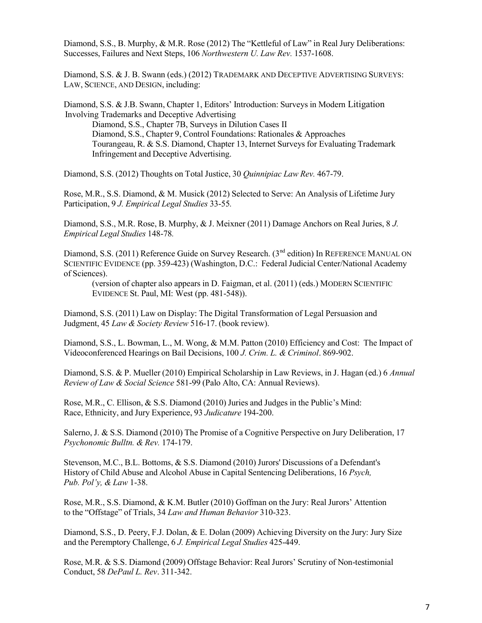Diamond, S.S., B. Murphy, & M.R. Rose (2012) The "Kettleful of Law" in Real Jury Deliberations: Successes, Failures and Next Steps, 106 Northwestern U. Law Rev. 1537-1608.

Diamond, S.S. & J. B. Swann (eds.) (2012) TRADEMARK AND DECEPTIVE ADVERTISING SURVEYS: LAW, SCIENCE, AND DESIGN, including:

Diamond, S.S. & J.B. Swann, Chapter 1, Editors' Introduction: Surveys in Modern Litigation Involving Trademarks and Deceptive Advertising

 Diamond, S.S., Chapter 7B, Surveys in Dilution Cases II Diamond, S.S., Chapter 9, Control Foundations: Rationales & Approaches Tourangeau, R. & S.S. Diamond, Chapter 13, Internet Surveys for Evaluating Trademark Infringement and Deceptive Advertising.

Diamond, S.S. (2012) Thoughts on Total Justice, 30 Quinnipiac Law Rev. 467-79.

Rose, M.R., S.S. Diamond, & M. Musick (2012) Selected to Serve: An Analysis of Lifetime Jury Participation, 9 J. Empirical Legal Studies 33-55.

Diamond, S.S., M.R. Rose, B. Murphy, & J. Meixner (2011) Damage Anchors on Real Juries, 8 J. Empirical Legal Studies 148-78.

Diamond, S.S. (2011) Reference Guide on Survey Research. (3<sup>nd</sup> edition) In REFERENCE MANUAL ON SCIENTIFIC EVIDENCE (pp. 359-423) (Washington, D.C.: Federal Judicial Center/National Academy of Sciences).

(version of chapter also appears in D. Faigman, et al. (2011) (eds.) MODERN SCIENTIFIC EVIDENCE St. Paul, MI: West (pp. 481-548)).

Diamond, S.S. (2011) Law on Display: The Digital Transformation of Legal Persuasion and Judgment, 45 Law & Society Review 516-17. (book review).

Diamond, S.S., L. Bowman, L., M. Wong, & M.M. Patton (2010) Efficiency and Cost: The Impact of Videoconferenced Hearings on Bail Decisions, 100 J. Crim. L. & Criminol. 869-902.

Diamond, S.S. & P. Mueller (2010) Empirical Scholarship in Law Reviews, in J. Hagan (ed.) 6 Annual Review of Law & Social Science 581-99 (Palo Alto, CA: Annual Reviews).

Rose, M.R., C. Ellison, & S.S. Diamond (2010) Juries and Judges in the Public's Mind: Race, Ethnicity, and Jury Experience, 93 Judicature 194-200.

Salerno, J. & S.S. Diamond (2010) The Promise of a Cognitive Perspective on Jury Deliberation, 17 Psychonomic Bulltn. & Rev. 174-179.

Stevenson, M.C., B.L. Bottoms, & S.S. Diamond (2010) Jurors' Discussions of a Defendant's History of Child Abuse and Alcohol Abuse in Capital Sentencing Deliberations, 16 Psych, Pub. Pol'y, & Law 1-38.

Rose, M.R., S.S. Diamond, & K.M. Butler (2010) Goffman on the Jury: Real Jurors' Attention to the "Offstage" of Trials, 34 Law and Human Behavior 310-323.

Diamond, S.S., D. Peery, F.J. Dolan, & E. Dolan (2009) Achieving Diversity on the Jury: Jury Size and the Peremptory Challenge, 6 J. Empirical Legal Studies 425-449.

Rose, M.R. & S.S. Diamond (2009) Offstage Behavior: Real Jurors' Scrutiny of Non-testimonial Conduct, 58 DePaul L. Rev. 311-342.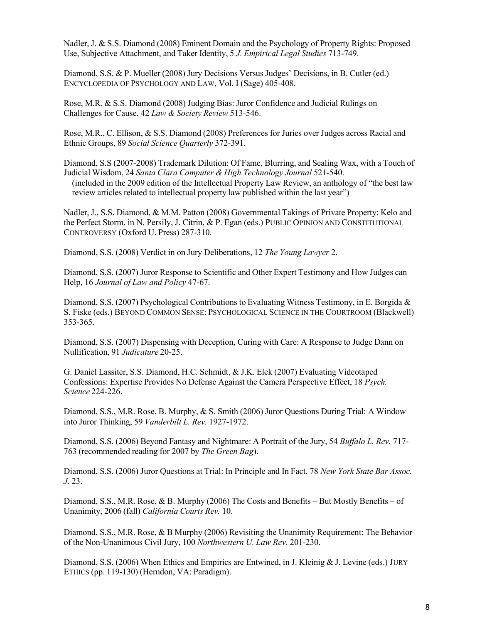Nadler, J. & S.S. Diamond (2008) Eminent Domain and the Psychology of Property Rights: Proposed Use, Subjective Attachment, and Taker Identity, 5 J. Empirical Legal Studies 713-749.

Diamond, S.S. & P. Mueller (2008) Jury Decisions Versus Judges' Decisions, in B. Cutler (ed.) ENCYCLOPEDIA OF PSYCHOLOGY AND LAW, Vol. I (Sage) 405-408.

Rose, M.R. & S.S. Diamond (2008) Judging Bias: Juror Confidence and Judicial Rulings on Challenges for Cause, 42 Law & Society Review 513-546.

Rose, M.R., C. Ellison, & S.S. Diamond (2008) Preferences for Juries over Judges across Racial and Ethnic Groups, 89 Social Science Quarterly 372-391.

Diamond, S.S (2007-2008) Trademark Dilution: Of Fame, Blurring, and Sealing Wax, with a Touch of Judicial Wisdom, 24 Santa Clara Computer & High Technology Journal 521-540.

(included in the 2009 edition of the Intellectual Property Law Review, an anthology of "the best law review articles related to intellectual property law published within the last year")

Nadler, J., S.S. Diamond, & M.M. Patton (2008) Governmental Takings of Private Property: Kelo and the Perfect Storm, in N. Persily, J. Citrin, & P. Egan (eds.) PUBLIC OPINION AND CONSTITUTIONAL CONTROVERSY (Oxford U. Press) 287-310.

Diamond, S.S. (2008) Verdict in on Jury Deliberations, 12 The Young Lawyer 2.

Diamond, S.S. (2007) Juror Response to Scientific and Other Expert Testimony and How Judges can Help, 16 Journal of Law and Policy 47-67.

Diamond, S.S. (2007) Psychological Contributions to Evaluating Witness Testimony, in E. Borgida & S. Fiske (eds.) BEYOND COMMON SENSE: PSYCHOLOGICAL SCIENCE IN THE COURTROOM (Blackwell) 353-365.

Diamond, S.S. (2007) Dispensing with Deception, Curing with Care: A Response to Judge Dann on Nullification, 91 Judicature 20-25.

G. Daniel Lassiter, S.S. Diamond, H.C. Schmidt, & J.K. Elek (2007) Evaluating Videotaped Confessions: Expertise Provides No Defense Against the Camera Perspective Effect, 18 Psych. Science 224-226.

Diamond, S.S., M.R. Rose, B. Murphy, & S. Smith (2006) Juror Questions During Trial: A Window into Juror Thinking, 59 Vanderbilt L. Rev. 1927-1972.

Diamond, S.S. (2006) Beyond Fantasy and Nightmare: A Portrait of the Jury, 54 Buffalo L. Rev. 717- 763 (recommended reading for 2007 by The Green Bag).

Diamond, S.S. (2006) Juror Questions at Trial: In Principle and In Fact, 78 New York State Bar Assoc. J. 23.

Diamond, S.S., M.R. Rose, & B. Murphy (2006) The Costs and Benefits – But Mostly Benefits – of Unanimity, 2006 (fall) California Courts Rev. 10.

Diamond, S.S., M.R. Rose, & B Murphy (2006) Revisiting the Unanimity Requirement: The Behavior of the Non-Unanimous Civil Jury, 100 Northwestern U. Law Rev. 201-230.

Diamond, S.S. (2006) When Ethics and Empirics are Entwined, in J. Kleinig & J. Levine (eds.) JURY ETHICS (pp. 119-130) (Herndon, VA: Paradigm).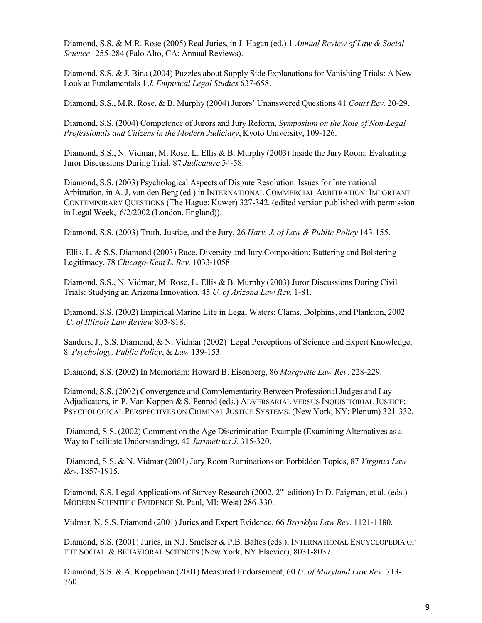Diamond, S.S. & M.R. Rose (2005) Real Juries, in J. Hagan (ed.) 1 Annual Review of Law & Social Science 255-284 (Palo Alto, CA: Annual Reviews).

Diamond, S.S. & J. Bina (2004) Puzzles about Supply Side Explanations for Vanishing Trials: A New Look at Fundamentals 1 J. Empirical Legal Studies 637-658.

Diamond, S.S., M.R. Rose, & B. Murphy (2004) Jurors' Unanswered Questions 41 Court Rev. 20-29.

 Diamond, S.S. (2004) Competence of Jurors and Jury Reform, Symposium on the Role of Non-Legal Professionals and Citizens in the Modern Judiciary, Kyoto University, 109-126.

Diamond, S.S., N. Vidmar, M. Rose, L. Ellis & B. Murphy (2003) Inside the Jury Room: Evaluating Juror Discussions During Trial, 87 Judicature 54-58.

Diamond, S.S. (2003) Psychological Aspects of Dispute Resolution: Issues for International Arbitration, in A. J. van den Berg (ed.) in INTERNATIONAL COMMERCIAL ARBITRATION: IMPORTANT CONTEMPORARY QUESTIONS (The Hague: Kuwer) 327-342. (edited version published with permission in Legal Week, 6/2/2002 (London, England)).

Diamond, S.S. (2003) Truth, Justice, and the Jury, 26 Harv. J. of Law & Public Policy 143-155.

 Ellis, L. & S.S. Diamond (2003) Race, Diversity and Jury Composition: Battering and Bolstering Legitimacy, 78 Chicago-Kent L. Rev. 1033-1058.

 Diamond, S.S., N. Vidmar, M. Rose, L. Ellis & B. Murphy (2003) Juror Discussions During Civil Trials: Studying an Arizona Innovation, 45 U. of Arizona Law Rev. 1-81.

 Diamond, S.S. (2002) Empirical Marine Life in Legal Waters: Clams, Dolphins, and Plankton, 2002 U. of Illinois Law Review 803-818.

Sanders, J., S.S. Diamond, & N. Vidmar (2002) Legal Perceptions of Science and Expert Knowledge, 8 Psychology, Public Policy, & Law 139-153.

Diamond, S.S. (2002) In Memoriam: Howard B. Eisenberg, 86 Marquette Law Rev. 228-229.

 Diamond, S.S. (2002) Convergence and Complementarity Between Professional Judges and Lay Adjudicators, in P. Van Koppen & S. Penrod (eds.) ADVERSARIAL VERSUS INQUISITORIAL JUSTICE: PSYCHOLOGICAL PERSPECTIVES ON CRIMINAL JUSTICE SYSTEMS. (New York, NY: Plenum) 321-332.

Diamond, S.S. (2002) Comment on the Age Discrimination Example (Examining Alternatives as a Way to Facilitate Understanding), 42 Jurimetrics J. 315-320.

Diamond, S.S. & N. Vidmar (2001) Jury Room Ruminations on Forbidden Topics, 87 Virginia Law Rev. 1857-1915.

Diamond, S.S. Legal Applications of Survey Research (2002, 2<sup>nd</sup> edition) In D. Faigman, et al. (eds.) MODERN SCIENTIFIC EVIDENCE St. Paul, MI: West) 286-330.

Vidmar, N. S.S. Diamond (2001) Juries and Expert Evidence, 66 Brooklyn Law Rev. 1121-1180.

Diamond, S.S. (2001) Juries, in N.J. Smelser & P.B. Baltes (eds.), INTERNATIONAL ENCYCLOPEDIA OF THE SOCIAL & BEHAVIORAL SCIENCES (New York, NY Elsevier), 8031-8037.

Diamond, S.S. & A. Koppelman (2001) Measured Endorsement, 60 U. of Maryland Law Rev. 713- 760.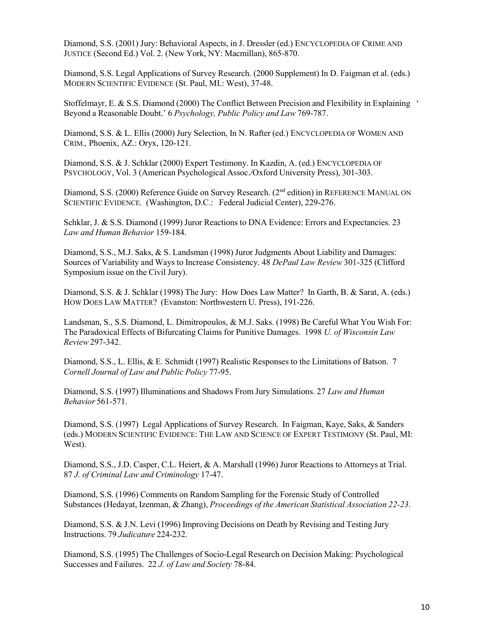Diamond, S.S. (2001) Jury: Behavioral Aspects, in J. Dressler (ed.) ENCYCLOPEDIA OF CRIME AND JUSTICE (Second Ed.) Vol. 2. (New York, NY: Macmillan), 865-870.

Diamond, S.S. Legal Applications of Survey Research. (2000 Supplement) In D. Faigman et al. (eds.) MODERN SCIENTIFIC EVIDENCE (St. Paul, MI.: West), 37-48.

Stoffelmayr, E. & S.S. Diamond (2000) The Conflict Between Precision and Flexibility in Explaining ' Beyond a Reasonable Doubt.' 6 Psychology, Public Policy and Law 769-787.

Diamond, S.S. & L. Ellis (2000) Jury Selection, In N. Rafter (ed.) ENCYCLOPEDIA OF WOMEN AND CRIM., Phoenix, AZ.: Oryx, 120-121.

Diamond, S.S. & J. Schklar (2000) Expert Testimony. In Kazdin, A. (ed.) ENCYCLOPEDIA OF PSYCHOLOGY, Vol. 3 (American Psychological Assoc./Oxford University Press), 301-303.

Diamond, S.S. (2000) Reference Guide on Survey Research. (2<sup>nd</sup> edition) in REFERENCE MANUAL ON SCIENTIFIC EVIDENCE. (Washington, D.C.: Federal Judicial Center), 229-276.

Schklar, J. & S.S. Diamond (1999) Juror Reactions to DNA Evidence: Errors and Expectancies. 23 Law and Human Behavior 159-184.

Diamond, S.S., M.J. Saks, & S. Landsman (1998) Juror Judgments About Liability and Damages: Sources of Variability and Ways to Increase Consistency. 48 DePaul Law Review 301-325 (Clifford Symposium issue on the Civil Jury).

Diamond, S.S. & J. Schklar (1998) The Jury: How Does Law Matter? In Garth, B. & Sarat, A. (eds.) HOW DOES LAW MATTER? (Evanston: Northwestern U. Press), 191-226.

Landsman, S., S.S. Diamond, L. Dimitropoulos, & M.J. Saks. (1998) Be Careful What You Wish For: The Paradoxical Effects of Bifurcating Claims for Punitive Damages. 1998 U. of Wisconsin Law Review 297-342.

Diamond, S.S., L. Ellis, & E. Schmidt (1997) Realistic Responses to the Limitations of Batson. 7 Cornell Journal of Law and Public Policy 77-95.

Diamond, S.S. (1997) Illuminations and Shadows From Jury Simulations. 27 Law and Human Behavior 561-571.

Diamond, S.S. (1997) Legal Applications of Survey Research. In Faigman, Kaye, Saks, & Sanders (eds.) MODERN SCIENTIFIC EVIDENCE: THE LAW AND SCIENCE OF EXPERT TESTIMONY (St. Paul, MI: West).

Diamond, S.S., J.D. Casper, C.L. Heiert, & A. Marshall (1996) Juror Reactions to Attorneys at Trial. 87 J. of Criminal Law and Criminology 17-47.

Diamond, S.S. (1996) Comments on Random Sampling for the Forensic Study of Controlled Substances (Hedayat, Izenman, & Zhang), *Proceedings of the American Statistical Association 22-23*.

Diamond, S.S. & J.N. Levi (1996) Improving Decisions on Death by Revising and Testing Jury Instructions. 79 Judicature 224-232.

Diamond, S.S. (1995) The Challenges of Socio-Legal Research on Decision Making: Psychological Successes and Failures. 22 J. of Law and Society 78-84.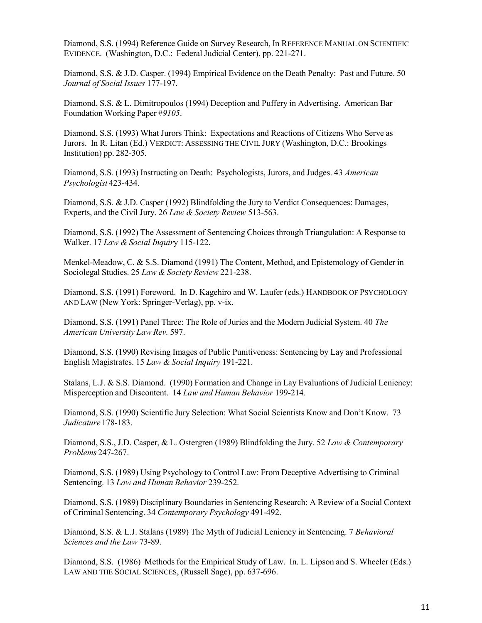Diamond, S.S. (1994) Reference Guide on Survey Research, In REFERENCE MANUAL ON SCIENTIFIC EVIDENCE. (Washington, D.C.: Federal Judicial Center), pp. 221-271.

Diamond, S.S. & J.D. Casper. (1994) Empirical Evidence on the Death Penalty: Past and Future. 50 Journal of Social Issues 177-197.

Diamond, S.S. & L. Dimitropoulos (1994) Deception and Puffery in Advertising. American Bar Foundation Working Paper #9105.

Diamond, S.S. (1993) What Jurors Think: Expectations and Reactions of Citizens Who Serve as Jurors. In R. Litan (Ed.) VERDICT: ASSESSING THE CIVIL JURY (Washington, D.C.: Brookings Institution) pp. 282-305.

Diamond, S.S. (1993) Instructing on Death: Psychologists, Jurors, and Judges. 43 American Psychologist 423-434.

Diamond, S.S. & J.D. Casper (1992) Blindfolding the Jury to Verdict Consequences: Damages, Experts, and the Civil Jury. 26 Law & Society Review 513-563.

Diamond, S.S. (1992) The Assessment of Sentencing Choices through Triangulation: A Response to Walker. 17 Law & Social Inquiry 115-122.

Menkel-Meadow, C. & S.S. Diamond (1991) The Content, Method, and Epistemology of Gender in Sociolegal Studies. 25 Law & Society Review 221-238.

Diamond, S.S. (1991) Foreword. In D. Kagehiro and W. Laufer (eds.) HANDBOOK OF PSYCHOLOGY AND LAW (New York: Springer-Verlag), pp. v-ix.

Diamond, S.S. (1991) Panel Three: The Role of Juries and the Modern Judicial System. 40 The American University Law Rev. 597.

Diamond, S.S. (1990) Revising Images of Public Punitiveness: Sentencing by Lay and Professional English Magistrates. 15 Law & Social Inquiry 191-221.

Stalans, L.J. & S.S. Diamond. (1990) Formation and Change in Lay Evaluations of Judicial Leniency: Misperception and Discontent. 14 Law and Human Behavior 199-214.

Diamond, S.S. (1990) Scientific Jury Selection: What Social Scientists Know and Don't Know. 73 Judicature 178-183.

Diamond, S.S., J.D. Casper, & L. Ostergren (1989) Blindfolding the Jury. 52 Law & Contemporary Problems 247-267.

Diamond, S.S. (1989) Using Psychology to Control Law: From Deceptive Advertising to Criminal Sentencing. 13 Law and Human Behavior 239-252.

Diamond, S.S. (1989) Disciplinary Boundaries in Sentencing Research: A Review of a Social Context of Criminal Sentencing. 34 Contemporary Psychology 491-492.

Diamond, S.S. & L.J. Stalans (1989) The Myth of Judicial Leniency in Sentencing. 7 Behavioral Sciences and the Law 73-89.

Diamond, S.S. (1986) Methods for the Empirical Study of Law. In. L. Lipson and S. Wheeler (Eds.) LAW AND THE SOCIAL SCIENCES, (Russell Sage), pp. 637-696.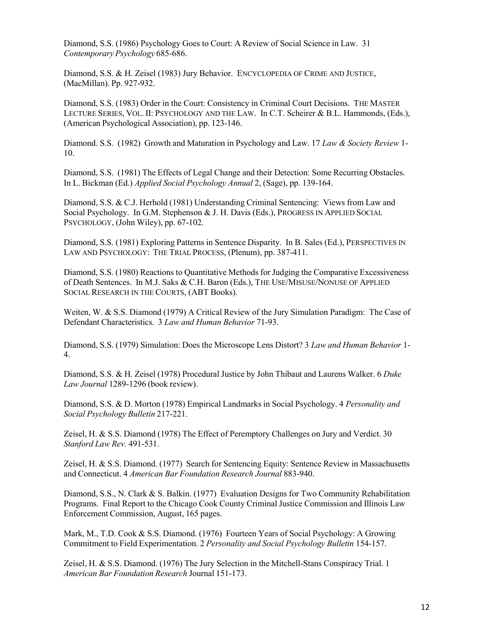Diamond, S.S. (1986) Psychology Goes to Court: A Review of Social Science in Law. 31 Contemporary Psychology 685-686.

Diamond, S.S. & H. Zeisel (1983) Jury Behavior. ENCYCLOPEDIA OF CRIME AND JUSTICE, (MacMillan). Pp. 927-932.

Diamond, S.S. (1983) Order in the Court: Consistency in Criminal Court Decisions. THE MASTER LECTURE SERIES, VOL. II: PSYCHOLOGY AND THE LAW. In C.T. Scheirer & B.L. Hammonds, (Eds.), (American Psychological Association), pp. 123-146.

Diamond. S.S. (1982) Growth and Maturation in Psychology and Law. 17 Law & Society Review 1-10.

Diamond, S.S. (1981) The Effects of Legal Change and their Detection: Some Recurring Obstacles. In L. Bickman (Ed.) Applied Social Psychology Annual 2, (Sage), pp. 139-164.

Diamond, S.S. & C.J. Herhold (1981) Understanding Criminal Sentencing: Views from Law and Social Psychology. In G.M. Stephenson & J. H. Davis (Eds.), PROGRESS IN APPLIED SOCIAL PSYCHOLOGY, (John Wiley), pp. 67-102.

Diamond, S.S. (1981) Exploring Patterns in Sentence Disparity. In B. Sales (Ed.), PERSPECTIVES IN LAW AND PSYCHOLOGY: THE TRIAL PROCESS, (Plenum), pp. 387-411.

Diamond, S.S. (1980) Reactions to Quantitative Methods for Judging the Comparative Excessiveness of Death Sentences. In M.J. Saks & C.H. Baron (Eds.), THE USE/MISUSE/NONUSE OF APPLIED SOCIAL RESEARCH IN THE COURTS, (ABT Books).

Weiten, W. & S.S. Diamond (1979) A Critical Review of the Jury Simulation Paradigm: The Case of Defendant Characteristics. 3 Law and Human Behavior 71-93.

Diamond, S.S. (1979) Simulation: Does the Microscope Lens Distort? 3 Law and Human Behavior 1-4.

Diamond, S.S. & H. Zeisel (1978) Procedural Justice by John Thibaut and Laurens Walker. 6 Duke Law Journal 1289-1296 (book review).

Diamond, S.S. & D. Morton (1978) Empirical Landmarks in Social Psychology. 4 Personality and Social Psychology Bulletin 217-221.

Zeisel, H. & S.S. Diamond (1978) The Effect of Peremptory Challenges on Jury and Verdict. 30 Stanford Law Rev. 491-531.

Zeisel, H. & S.S. Diamond. (1977) Search for Sentencing Equity: Sentence Review in Massachusetts and Connecticut. 4 American Bar Foundation Research Journal 883-940.

Diamond, S.S., N. Clark & S. Balkin. (1977) Evaluation Designs for Two Community Rehabilitation Programs. Final Report to the Chicago Cook County Criminal Justice Commission and Illinois Law Enforcement Commission, August, 165 pages.

Mark, M., T.D. Cook & S.S. Diamond. (1976) Fourteen Years of Social Psychology: A Growing Commitment to Field Experimentation. 2 Personality and Social Psychology Bulletin 154-157.

Zeisel, H. & S.S. Diamond. (1976) The Jury Selection in the Mitchell-Stans Conspiracy Trial. 1 American Bar Foundation Research Journal 151-173.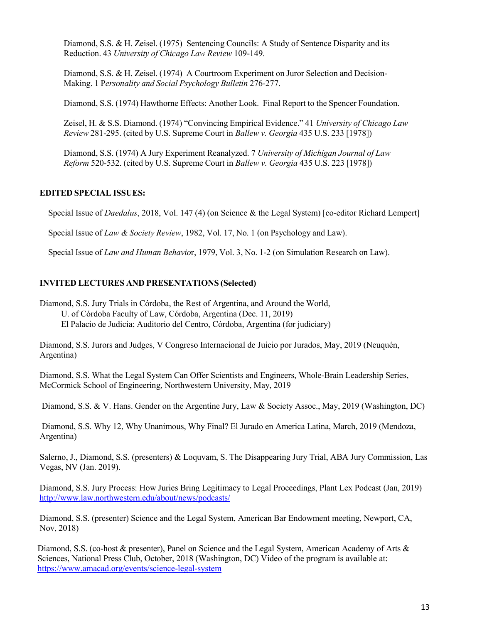Diamond, S.S. & H. Zeisel. (1975) Sentencing Councils: A Study of Sentence Disparity and its Reduction. 43 University of Chicago Law Review 109-149.

Diamond, S.S. & H. Zeisel. (1974) A Courtroom Experiment on Juror Selection and Decision-Making. 1 Personality and Social Psychology Bulletin 276-277.

Diamond, S.S. (1974) Hawthorne Effects: Another Look. Final Report to the Spencer Foundation.

Zeisel, H. & S.S. Diamond. (1974) "Convincing Empirical Evidence." 41 University of Chicago Law Review 281-295. (cited by U.S. Supreme Court in Ballew v. Georgia 435 U.S. 233 [1978])

Diamond, S.S. (1974) A Jury Experiment Reanalyzed. 7 University of Michigan Journal of Law Reform 520-532. (cited by U.S. Supreme Court in Ballew v. Georgia 435 U.S. 223 [1978])

# EDITED SPECIAL ISSUES:

Special Issue of *Daedalus*, 2018, Vol. 147 (4) (on Science & the Legal System) [co-editor Richard Lempert]

Special Issue of *Law & Society Review*, 1982, Vol. 17, No. 1 (on Psychology and Law).

Special Issue of Law and Human Behavior, 1979, Vol. 3, No. 1-2 (on Simulation Research on Law).

## INVITED LECTURES AND PRESENTATIONS (Selected)

Diamond, S.S. Jury Trials in Córdoba, the Rest of Argentina, and Around the World, U. of Córdoba Faculty of Law, Córdoba, Argentina (Dec. 11, 2019) El Palacio de Judicia; Auditorio del Centro, Córdoba, Argentina (for judiciary)

Diamond, S.S. Jurors and Judges, V Congreso Internacional de Juicio por Jurados, May, 2019 (Neuquén, Argentina)

Diamond, S.S. What the Legal System Can Offer Scientists and Engineers, Whole-Brain Leadership Series, McCormick School of Engineering, Northwestern University, May, 2019

Diamond, S.S. & V. Hans. Gender on the Argentine Jury, Law & Society Assoc., May, 2019 (Washington, DC)

 Diamond, S.S. Why 12, Why Unanimous, Why Final? El Jurado en America Latina, March, 2019 (Mendoza, Argentina)

Salerno, J., Diamond, S.S. (presenters) & Loquvam, S. The Disappearing Jury Trial, ABA Jury Commission, Las Vegas, NV (Jan. 2019).

Diamond, S.S. Jury Process: How Juries Bring Legitimacy to Legal Proceedings, Plant Lex Podcast (Jan, 2019) http://www.law.northwestern.edu/about/news/podcasts/

Diamond, S.S. (presenter) Science and the Legal System, American Bar Endowment meeting, Newport, CA, Nov, 2018)

 Diamond, S.S. (co-host & presenter), Panel on Science and the Legal System, American Academy of Arts & Sciences, National Press Club, October, 2018 (Washington, DC) Video of the program is available at: https://www.amacad.org/events/science-legal-system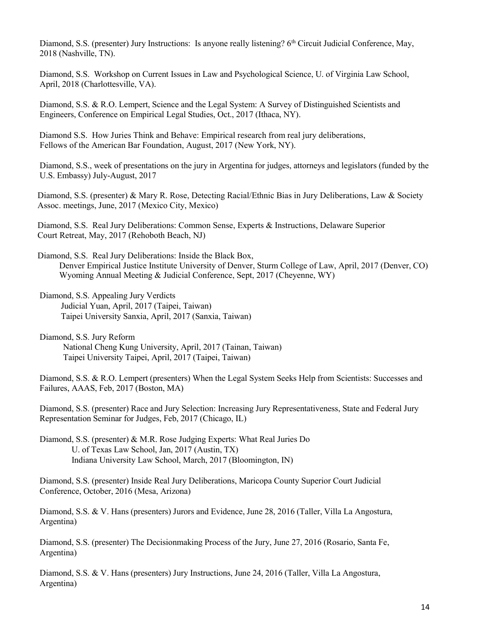Diamond, S.S. (presenter) Jury Instructions: Is anyone really listening? 6<sup>th</sup> Circuit Judicial Conference, May, 2018 (Nashville, TN).

Diamond, S.S. Workshop on Current Issues in Law and Psychological Science, U. of Virginia Law School, April, 2018 (Charlottesville, VA).

Diamond, S.S. & R.O. Lempert, Science and the Legal System: A Survey of Distinguished Scientists and Engineers, Conference on Empirical Legal Studies, Oct., 2017 (Ithaca, NY).

 Diamond S.S. How Juries Think and Behave: Empirical research from real jury deliberations, Fellows of the American Bar Foundation, August, 2017 (New York, NY).

Diamond, S.S., week of presentations on the jury in Argentina for judges, attorneys and legislators (funded by the U.S. Embassy) July-August, 2017

 Diamond, S.S. (presenter) & Mary R. Rose, Detecting Racial/Ethnic Bias in Jury Deliberations, Law & Society Assoc. meetings, June, 2017 (Mexico City, Mexico)

 Diamond, S.S. Real Jury Deliberations: Common Sense, Experts & Instructions, Delaware Superior Court Retreat, May, 2017 (Rehoboth Beach, NJ)

 Diamond, S.S. Real Jury Deliberations: Inside the Black Box, Denver Empirical Justice Institute University of Denver, Sturm College of Law, April, 2017 (Denver, CO) Wyoming Annual Meeting & Judicial Conference, Sept, 2017 (Cheyenne, WY)

Diamond, S.S. Appealing Jury Verdicts Judicial Yuan, April, 2017 (Taipei, Taiwan) Taipei University Sanxia, April, 2017 (Sanxia, Taiwan)

Diamond, S.S. Jury Reform National Cheng Kung University, April, 2017 (Tainan, Taiwan) Taipei University Taipei, April, 2017 (Taipei, Taiwan)

Diamond, S.S. & R.O. Lempert (presenters) When the Legal System Seeks Help from Scientists: Successes and Failures, AAAS, Feb, 2017 (Boston, MA)

Diamond, S.S. (presenter) Race and Jury Selection: Increasing Jury Representativeness, State and Federal Jury Representation Seminar for Judges, Feb, 2017 (Chicago, IL)

Diamond, S.S. (presenter) & M.R. Rose Judging Experts: What Real Juries Do U. of Texas Law School, Jan, 2017 (Austin, TX) Indiana University Law School, March, 2017 (Bloomington, IN)

Diamond, S.S. (presenter) Inside Real Jury Deliberations, Maricopa County Superior Court Judicial Conference, October, 2016 (Mesa, Arizona)

Diamond, S.S. & V. Hans (presenters) Jurors and Evidence, June 28, 2016 (Taller, Villa La Angostura, Argentina)

Diamond, S.S. (presenter) The Decisionmaking Process of the Jury, June 27, 2016 (Rosario, Santa Fe, Argentina)

Diamond, S.S. & V. Hans (presenters) Jury Instructions, June 24, 2016 (Taller, Villa La Angostura, Argentina)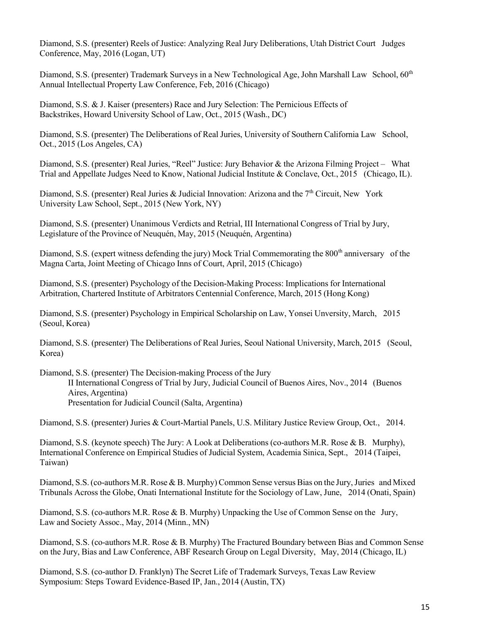Diamond, S.S. (presenter) Reels of Justice: Analyzing Real Jury Deliberations, Utah District Court Judges Conference, May, 2016 (Logan, UT)

Diamond, S.S. (presenter) Trademark Surveys in a New Technological Age, John Marshall Law School, 60<sup>th</sup> Annual Intellectual Property Law Conference, Feb, 2016 (Chicago)

Diamond, S.S. & J. Kaiser (presenters) Race and Jury Selection: The Pernicious Effects of Backstrikes, Howard University School of Law, Oct., 2015 (Wash., DC)

Diamond, S.S. (presenter) The Deliberations of Real Juries, University of Southern California Law School, Oct., 2015 (Los Angeles, CA)

Diamond, S.S. (presenter) Real Juries, "Reel" Justice: Jury Behavior & the Arizona Filming Project – What Trial and Appellate Judges Need to Know, National Judicial Institute & Conclave, Oct., 2015 (Chicago, IL).

Diamond, S.S. (presenter) Real Juries & Judicial Innovation: Arizona and the  $7<sup>th</sup>$  Circuit, New York University Law School, Sept., 2015 (New York, NY)

Diamond, S.S. (presenter) Unanimous Verdicts and Retrial, III International Congress of Trial by Jury, Legislature of the Province of Neuquén, May, 2015 (Neuquén, Argentina)

Diamond, S.S. (expert witness defending the jury) Mock Trial Commemorating the 800<sup>th</sup> anniversary of the Magna Carta, Joint Meeting of Chicago Inns of Court, April, 2015 (Chicago)

Diamond, S.S. (presenter) Psychology of the Decision-Making Process: Implications for International Arbitration, Chartered Institute of Arbitrators Centennial Conference, March, 2015 (Hong Kong)

Diamond, S.S. (presenter) Psychology in Empirical Scholarship on Law, Yonsei Unversity, March, 2015 (Seoul, Korea)

Diamond, S.S. (presenter) The Deliberations of Real Juries, Seoul National University, March, 2015 (Seoul, Korea)

Diamond, S.S. (presenter) The Decision-making Process of the Jury

II International Congress of Trial by Jury, Judicial Council of Buenos Aires, Nov., 2014 (Buenos Aires, Argentina)

Presentation for Judicial Council (Salta, Argentina)

Diamond, S.S. (presenter) Juries & Court-Martial Panels, U.S. Military Justice Review Group, Oct., 2014.

Diamond, S.S. (keynote speech) The Jury: A Look at Deliberations (co-authors M.R. Rose & B. Murphy), International Conference on Empirical Studies of Judicial System, Academia Sinica, Sept., 2014 (Taipei, Taiwan)

Diamond, S.S. (co-authors M.R. Rose & B. Murphy) Common Sense versus Bias on the Jury, Juries and Mixed Tribunals Across the Globe, Onati International Institute for the Sociology of Law, June, 2014 (Onati, Spain)

Diamond, S.S. (co-authors M.R. Rose & B. Murphy) Unpacking the Use of Common Sense on the Jury, Law and Society Assoc., May, 2014 (Minn., MN)

Diamond, S.S. (co-authors M.R. Rose & B. Murphy) The Fractured Boundary between Bias and Common Sense on the Jury, Bias and Law Conference, ABF Research Group on Legal Diversity, May, 2014 (Chicago, IL)

Diamond, S.S. (co-author D. Franklyn) The Secret Life of Trademark Surveys, Texas Law Review Symposium: Steps Toward Evidence-Based IP, Jan., 2014 (Austin, TX)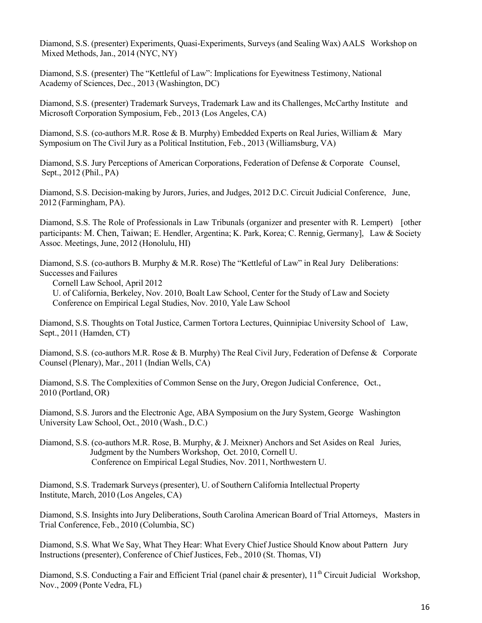Diamond, S.S. (presenter) Experiments, Quasi-Experiments, Surveys (and Sealing Wax) AALS Workshop on Mixed Methods, Jan., 2014 (NYC, NY)

Diamond, S.S. (presenter) The "Kettleful of Law": Implications for Eyewitness Testimony, National Academy of Sciences, Dec., 2013 (Washington, DC)

Diamond, S.S. (presenter) Trademark Surveys, Trademark Law and its Challenges, McCarthy Institute and Microsoft Corporation Symposium, Feb., 2013 (Los Angeles, CA)

Diamond, S.S. (co-authors M.R. Rose & B. Murphy) Embedded Experts on Real Juries, William & Mary Symposium on The Civil Jury as a Political Institution, Feb., 2013 (Williamsburg, VA)

Diamond, S.S. Jury Perceptions of American Corporations, Federation of Defense & Corporate Counsel, Sept., 2012 (Phil., PA)

Diamond, S.S. Decision-making by Jurors, Juries, and Judges, 2012 D.C. Circuit Judicial Conference, June, 2012 (Farmingham, PA).

Diamond, S.S. The Role of Professionals in Law Tribunals (organizer and presenter with R. Lempert) [other participants: M. Chen, Taiwan; E. Hendler, Argentina; K. Park, Korea; C. Rennig, Germany], Law & Society Assoc. Meetings, June, 2012 (Honolulu, HI)

Diamond, S.S. (co-authors B. Murphy & M.R. Rose) The "Kettleful of Law" in Real Jury Deliberations: Successes and Failures

Cornell Law School, April 2012

U. of California, Berkeley, Nov. 2010, Boalt Law School, Center for the Study of Law and Society Conference on Empirical Legal Studies, Nov. 2010, Yale Law School

Diamond, S.S. Thoughts on Total Justice, Carmen Tortora Lectures, Quinnipiac University School of Law, Sept., 2011 (Hamden, CT)

Diamond, S.S. (co-authors M.R. Rose & B. Murphy) The Real Civil Jury, Federation of Defense & Corporate Counsel (Plenary), Mar., 2011 (Indian Wells, CA)

Diamond, S.S. The Complexities of Common Sense on the Jury, Oregon Judicial Conference, Oct., 2010 (Portland, OR)

Diamond, S.S. Jurors and the Electronic Age, ABA Symposium on the Jury System, George Washington University Law School, Oct., 2010 (Wash., D.C.)

Diamond, S.S. (co-authors M.R. Rose, B. Murphy, & J. Meixner) Anchors and Set Asides on Real Juries, Judgment by the Numbers Workshop, Oct. 2010, Cornell U. Conference on Empirical Legal Studies, Nov. 2011, Northwestern U.

Diamond, S.S. Trademark Surveys (presenter), U. of Southern California Intellectual Property Institute, March, 2010 (Los Angeles, CA)

Diamond, S.S. Insights into Jury Deliberations, South Carolina American Board of Trial Attorneys, Masters in Trial Conference, Feb., 2010 (Columbia, SC)

Diamond, S.S. What We Say, What They Hear: What Every Chief Justice Should Know about Pattern Jury Instructions (presenter), Conference of Chief Justices, Feb., 2010 (St. Thomas, VI)

Diamond, S.S. Conducting a Fair and Efficient Trial (panel chair & presenter), 11<sup>th</sup> Circuit Judicial Workshop, Nov., 2009 (Ponte Vedra, FL)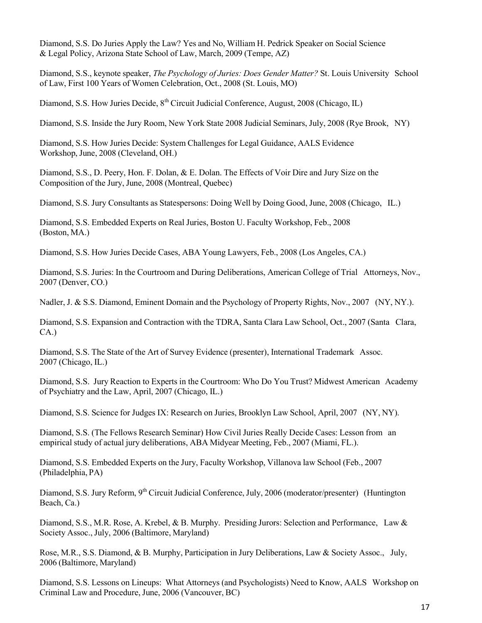Diamond, S.S. Do Juries Apply the Law? Yes and No, William H. Pedrick Speaker on Social Science & Legal Policy, Arizona State School of Law, March, 2009 (Tempe, AZ)

Diamond, S.S., keynote speaker, The Psychology of Juries: Does Gender Matter? St. Louis University School of Law, First 100 Years of Women Celebration, Oct., 2008 (St. Louis, MO)

Diamond, S.S. How Juries Decide, 8<sup>th</sup> Circuit Judicial Conference, August, 2008 (Chicago, IL)

Diamond, S.S. Inside the Jury Room, New York State 2008 Judicial Seminars, July, 2008 (Rye Brook, NY)

Diamond, S.S. How Juries Decide: System Challenges for Legal Guidance, AALS Evidence Workshop, June, 2008 (Cleveland, OH.)

Diamond, S.S., D. Peery, Hon. F. Dolan, & E. Dolan. The Effects of Voir Dire and Jury Size on the Composition of the Jury, June, 2008 (Montreal, Quebec)

Diamond, S.S. Jury Consultants as Statespersons: Doing Well by Doing Good, June, 2008 (Chicago, IL.)

Diamond, S.S. Embedded Experts on Real Juries, Boston U. Faculty Workshop, Feb., 2008 (Boston, MA.)

Diamond, S.S. How Juries Decide Cases, ABA Young Lawyers, Feb., 2008 (Los Angeles, CA.)

Diamond, S.S. Juries: In the Courtroom and During Deliberations, American College of Trial Attorneys, Nov., 2007 (Denver, CO.)

Nadler, J. & S.S. Diamond, Eminent Domain and the Psychology of Property Rights, Nov., 2007 (NY, NY.).

Diamond, S.S. Expansion and Contraction with the TDRA, Santa Clara Law School, Oct., 2007 (Santa Clara, CA.)

Diamond, S.S. The State of the Art of Survey Evidence (presenter), International Trademark Assoc. 2007 (Chicago, IL.)

Diamond, S.S. Jury Reaction to Experts in the Courtroom: Who Do You Trust? Midwest American Academy of Psychiatry and the Law, April, 2007 (Chicago, IL.)

Diamond, S.S. Science for Judges IX: Research on Juries, Brooklyn Law School, April, 2007 (NY, NY).

Diamond, S.S. (The Fellows Research Seminar) How Civil Juries Really Decide Cases: Lesson from an empirical study of actual jury deliberations, ABA Midyear Meeting, Feb., 2007 (Miami, FL.).

Diamond, S.S. Embedded Experts on the Jury, Faculty Workshop, Villanova law School (Feb., 2007 (Philadelphia, PA)

Diamond, S.S. Jury Reform, 9<sup>th</sup> Circuit Judicial Conference, July, 2006 (moderator/presenter) (Huntington Beach, Ca.)

Diamond, S.S., M.R. Rose, A. Krebel, & B. Murphy. Presiding Jurors: Selection and Performance, Law & Society Assoc., July, 2006 (Baltimore, Maryland)

Rose, M.R., S.S. Diamond, & B. Murphy, Participation in Jury Deliberations, Law & Society Assoc., July, 2006 (Baltimore, Maryland)

Diamond, S.S. Lessons on Lineups: What Attorneys (and Psychologists) Need to Know, AALS Workshop on Criminal Law and Procedure, June, 2006 (Vancouver, BC)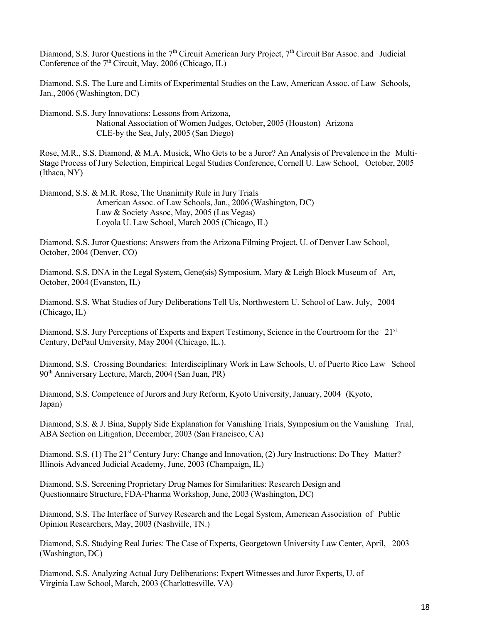Diamond, S.S. Juror Questions in the  $7<sup>th</sup>$  Circuit American Jury Project,  $7<sup>th</sup>$  Circuit Bar Assoc. and Judicial Conference of the  $7<sup>th</sup>$  Circuit, May, 2006 (Chicago, IL)

Diamond, S.S. The Lure and Limits of Experimental Studies on the Law, American Assoc. of Law Schools, Jan., 2006 (Washington, DC)

Diamond, S.S. Jury Innovations: Lessons from Arizona,

National Association of Women Judges, October, 2005 (Houston) Arizona CLE-by the Sea, July, 2005 (San Diego)

Rose, M.R., S.S. Diamond, & M.A. Musick, Who Gets to be a Juror? An Analysis of Prevalence in the Multi-Stage Process of Jury Selection, Empirical Legal Studies Conference, Cornell U. Law School, October, 2005 (Ithaca, NY)

Diamond, S.S. & M.R. Rose, The Unanimity Rule in Jury Trials American Assoc. of Law Schools, Jan., 2006 (Washington, DC) Law & Society Assoc, May, 2005 (Las Vegas) Loyola U. Law School, March 2005 (Chicago, IL)

Diamond, S.S. Juror Questions: Answers from the Arizona Filming Project, U. of Denver Law School, October, 2004 (Denver, CO)

Diamond, S.S. DNA in the Legal System, Gene(sis) Symposium, Mary & Leigh Block Museum of Art, October, 2004 (Evanston, IL)

Diamond, S.S. What Studies of Jury Deliberations Tell Us, Northwestern U. School of Law, July, 2004 (Chicago, IL)

Diamond, S.S. Jury Perceptions of Experts and Expert Testimony, Science in the Courtroom for the 21<sup>st</sup> Century, DePaul University, May 2004 (Chicago, IL.).

Diamond, S.S. Crossing Boundaries: Interdisciplinary Work in Law Schools, U. of Puerto Rico Law School 90th Anniversary Lecture, March, 2004 (San Juan, PR)

Diamond, S.S. Competence of Jurors and Jury Reform, Kyoto University, January, 2004 (Kyoto, Japan)

Diamond, S.S. & J. Bina, Supply Side Explanation for Vanishing Trials, Symposium on the Vanishing Trial, ABA Section on Litigation, December, 2003 (San Francisco, CA)

Diamond, S.S. (1) The 21<sup>st</sup> Century Jury: Change and Innovation, (2) Jury Instructions: Do They Matter? Illinois Advanced Judicial Academy, June, 2003 (Champaign, IL)

Diamond, S.S. Screening Proprietary Drug Names for Similarities: Research Design and Questionnaire Structure, FDA-Pharma Workshop, June, 2003 (Washington, DC)

Diamond, S.S. The Interface of Survey Research and the Legal System, American Association of Public Opinion Researchers, May, 2003 (Nashville, TN.)

Diamond, S.S. Studying Real Juries: The Case of Experts, Georgetown University Law Center, April, 2003 (Washington, DC)

Diamond, S.S. Analyzing Actual Jury Deliberations: Expert Witnesses and Juror Experts, U. of Virginia Law School, March, 2003 (Charlottesville, VA)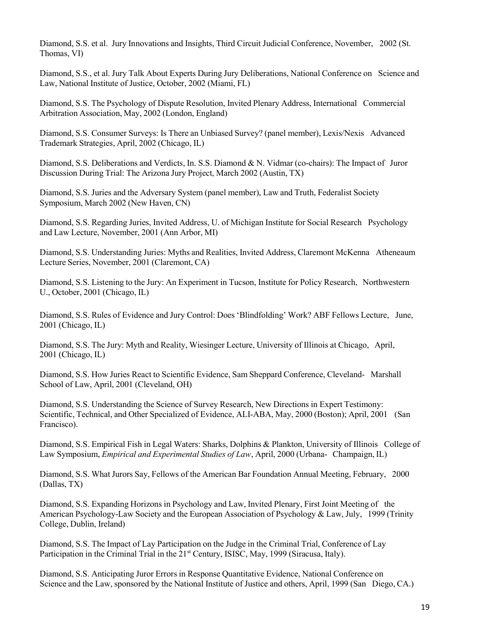Diamond, S.S. et al. Jury Innovations and Insights, Third Circuit Judicial Conference, November, 2002 (St. Thomas, VI)

Diamond, S.S., et al. Jury Talk About Experts During Jury Deliberations, National Conference on Science and Law, National Institute of Justice, October, 2002 (Miami, FL)

Diamond, S.S. The Psychology of Dispute Resolution, Invited Plenary Address, International Commercial Arbitration Association, May, 2002 (London, England)

Diamond, S.S. Consumer Surveys: Is There an Unbiased Survey? (panel member), Lexis/Nexis Advanced Trademark Strategies, April, 2002 (Chicago, IL)

Diamond, S.S. Deliberations and Verdicts, In. S.S. Diamond & N. Vidmar (co-chairs): The Impact of Juror Discussion During Trial: The Arizona Jury Project, March 2002 (Austin, TX)

Diamond, S.S. Juries and the Adversary System (panel member), Law and Truth, Federalist Society Symposium, March 2002 (New Haven, CN)

Diamond, S.S. Regarding Juries, Invited Address, U. of Michigan Institute for Social Research Psychology and Law Lecture, November, 2001 (Ann Arbor, MI)

Diamond, S.S. Understanding Juries: Myths and Realities, Invited Address, Claremont McKenna Atheneaum Lecture Series, November, 2001 (Claremont, CA)

Diamond, S.S. Listening to the Jury: An Experiment in Tucson, Institute for Policy Research, Northwestern U., October, 2001 (Chicago, IL)

Diamond, S.S. Rules of Evidence and Jury Control: Does 'Blindfolding' Work? ABF Fellows Lecture, June, 2001 (Chicago, IL)

Diamond, S.S. The Jury: Myth and Reality, Wiesinger Lecture, University of Illinois at Chicago, April, 2001 (Chicago, IL)

Diamond, S.S. How Juries React to Scientific Evidence, Sam Sheppard Conference, Cleveland- Marshall School of Law, April, 2001 (Cleveland, OH)

Diamond, S.S. Understanding the Science of Survey Research, New Directions in Expert Testimony: Scientific, Technical, and Other Specialized of Evidence, ALI-ABA, May, 2000 (Boston); April, 2001 (San Francisco).

Diamond, S.S. Empirical Fish in Legal Waters: Sharks, Dolphins & Plankton, University of Illinois College of Law Symposium, Empirical and Experimental Studies of Law, April, 2000 (Urbana- Champaign, IL)

Diamond, S.S. What Jurors Say, Fellows of the American Bar Foundation Annual Meeting, February, 2000 (Dallas, TX)

Diamond, S.S. Expanding Horizons in Psychology and Law, Invited Plenary, First Joint Meeting of the American Psychology-Law Society and the European Association of Psychology & Law, July, 1999 (Trinity College, Dublin, Ireland)

Diamond, S.S. The Impact of Lay Participation on the Judge in the Criminal Trial, Conference of Lay Participation in the Criminal Trial in the 21<sup>st</sup> Century, ISISC, May, 1999 (Siracusa, Italy).

Diamond, S.S. Anticipating Juror Errors in Response Quantitative Evidence, National Conference on Science and the Law, sponsored by the National Institute of Justice and others, April, 1999 (San Diego, CA.)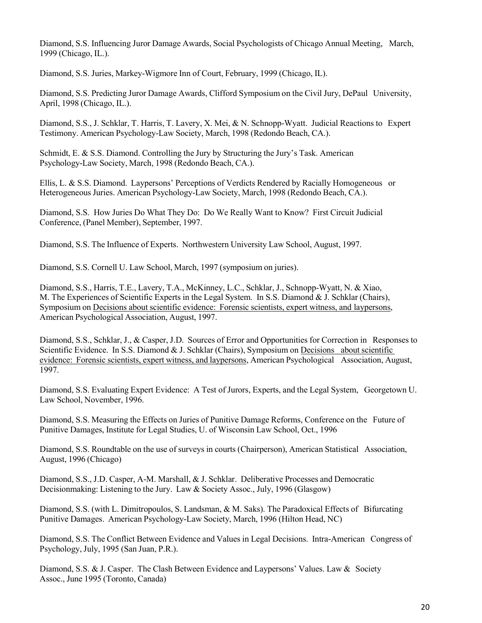Diamond, S.S. Influencing Juror Damage Awards, Social Psychologists of Chicago Annual Meeting, March, 1999 (Chicago, IL.).

Diamond, S.S. Juries, Markey-Wigmore Inn of Court, February, 1999 (Chicago, IL).

Diamond, S.S. Predicting Juror Damage Awards, Clifford Symposium on the Civil Jury, DePaul University, April, 1998 (Chicago, IL.).

Diamond, S.S., J. Schklar, T. Harris, T. Lavery, X. Mei, & N. Schnopp-Wyatt. Judicial Reactions to Expert Testimony. American Psychology-Law Society, March, 1998 (Redondo Beach, CA.).

Schmidt, E. & S.S. Diamond. Controlling the Jury by Structuring the Jury's Task. American Psychology-Law Society, March, 1998 (Redondo Beach, CA.).

Ellis, L. & S.S. Diamond. Laypersons' Perceptions of Verdicts Rendered by Racially Homogeneous or Heterogeneous Juries. American Psychology-Law Society, March, 1998 (Redondo Beach, CA.).

Diamond, S.S. How Juries Do What They Do: Do We Really Want to Know? First Circuit Judicial Conference, (Panel Member), September, 1997.

Diamond, S.S. The Influence of Experts. Northwestern University Law School, August, 1997.

Diamond, S.S. Cornell U. Law School, March, 1997 (symposium on juries).

Diamond, S.S., Harris, T.E., Lavery, T.A., McKinney, L.C., Schklar, J., Schnopp-Wyatt, N. & Xiao, M. The Experiences of Scientific Experts in the Legal System. In S.S. Diamond & J. Schklar (Chairs), Symposium on Decisions about scientific evidence: Forensic scientists, expert witness, and laypersons, American Psychological Association, August, 1997.

Diamond, S.S., Schklar, J., & Casper, J.D. Sources of Error and Opportunities for Correction in Responses to Scientific Evidence. In S.S. Diamond & J. Schklar (Chairs), Symposium on Decisions about scientific evidence: Forensic scientists, expert witness, and laypersons, American Psychological Association, August, 1997.

Diamond, S.S. Evaluating Expert Evidence: A Test of Jurors, Experts, and the Legal System, Georgetown U. Law School, November, 1996.

Diamond, S.S. Measuring the Effects on Juries of Punitive Damage Reforms, Conference on the Future of Punitive Damages, Institute for Legal Studies, U. of Wisconsin Law School, Oct., 1996

Diamond, S.S. Roundtable on the use of surveys in courts (Chairperson), American Statistical Association, August, 1996 (Chicago)

Diamond, S.S., J.D. Casper, A-M. Marshall, & J. Schklar. Deliberative Processes and Democratic Decisionmaking: Listening to the Jury. Law & Society Assoc., July, 1996 (Glasgow)

Diamond, S.S. (with L. Dimitropoulos, S. Landsman, & M. Saks). The Paradoxical Effects of Bifurcating Punitive Damages. American Psychology-Law Society, March, 1996 (Hilton Head, NC)

Diamond, S.S. The Conflict Between Evidence and Values in Legal Decisions. Intra-American Congress of Psychology, July, 1995 (San Juan, P.R.).

Diamond, S.S. & J. Casper. The Clash Between Evidence and Laypersons' Values. Law & Society Assoc., June 1995 (Toronto, Canada)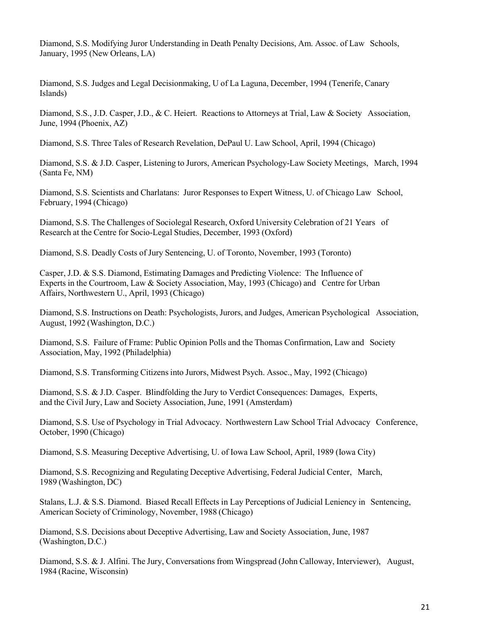Diamond, S.S. Modifying Juror Understanding in Death Penalty Decisions, Am. Assoc. of Law Schools, January, 1995 (New Orleans, LA)

Diamond, S.S. Judges and Legal Decisionmaking, U of La Laguna, December, 1994 (Tenerife, Canary Islands)

Diamond, S.S., J.D. Casper, J.D., & C. Heiert. Reactions to Attorneys at Trial, Law & Society Association, June, 1994 (Phoenix, AZ)

Diamond, S.S. Three Tales of Research Revelation, DePaul U. Law School, April, 1994 (Chicago)

Diamond, S.S. & J.D. Casper, Listening to Jurors, American Psychology-Law Society Meetings, March, 1994 (Santa Fe, NM)

Diamond, S.S. Scientists and Charlatans: Juror Responses to Expert Witness, U. of Chicago Law School, February, 1994 (Chicago)

Diamond, S.S. The Challenges of Sociolegal Research, Oxford University Celebration of 21 Years of Research at the Centre for Socio-Legal Studies, December, 1993 (Oxford)

Diamond, S.S. Deadly Costs of Jury Sentencing, U. of Toronto, November, 1993 (Toronto)

Casper, J.D. & S.S. Diamond, Estimating Damages and Predicting Violence: The Influence of Experts in the Courtroom, Law & Society Association, May, 1993 (Chicago) and Centre for Urban Affairs, Northwestern U., April, 1993 (Chicago)

Diamond, S.S. Instructions on Death: Psychologists, Jurors, and Judges, American Psychological Association, August, 1992 (Washington, D.C.)

Diamond, S.S. Failure of Frame: Public Opinion Polls and the Thomas Confirmation, Law and Society Association, May, 1992 (Philadelphia)

Diamond, S.S. Transforming Citizens into Jurors, Midwest Psych. Assoc., May, 1992 (Chicago)

Diamond, S.S. & J.D. Casper. Blindfolding the Jury to Verdict Consequences: Damages, Experts, and the Civil Jury, Law and Society Association, June, 1991 (Amsterdam)

Diamond, S.S. Use of Psychology in Trial Advocacy. Northwestern Law School Trial Advocacy Conference, October, 1990 (Chicago)

Diamond, S.S. Measuring Deceptive Advertising, U. of Iowa Law School, April, 1989 (Iowa City)

Diamond, S.S. Recognizing and Regulating Deceptive Advertising, Federal Judicial Center, March, 1989 (Washington, DC)

Stalans, L.J. & S.S. Diamond. Biased Recall Effects in Lay Perceptions of Judicial Leniency in Sentencing, American Society of Criminology, November, 1988 (Chicago)

Diamond, S.S. Decisions about Deceptive Advertising, Law and Society Association, June, 1987 (Washington, D.C.)

Diamond, S.S. & J. Alfini. The Jury, Conversations from Wingspread (John Calloway, Interviewer), August, 1984 (Racine, Wisconsin)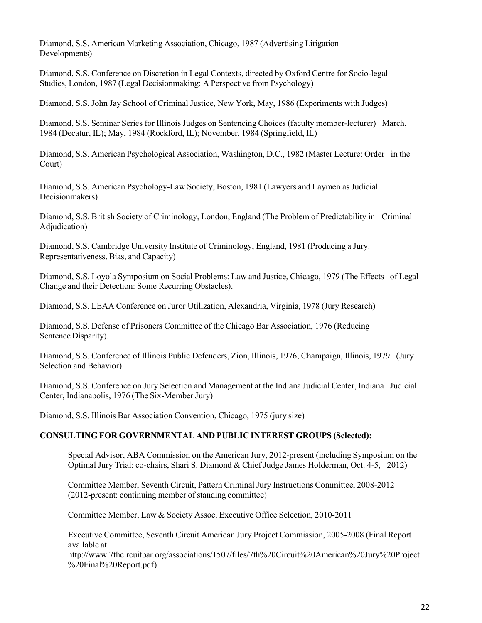Diamond, S.S. American Marketing Association, Chicago, 1987 (Advertising Litigation Developments)

Diamond, S.S. Conference on Discretion in Legal Contexts, directed by Oxford Centre for Socio-legal Studies, London, 1987 (Legal Decisionmaking: A Perspective from Psychology)

Diamond, S.S. John Jay School of Criminal Justice, New York, May, 1986 (Experiments with Judges)

Diamond, S.S. Seminar Series for Illinois Judges on Sentencing Choices (faculty member-lecturer) March, 1984 (Decatur, IL); May, 1984 (Rockford, IL); November, 1984 (Springfield, IL)

Diamond, S.S. American Psychological Association, Washington, D.C., 1982 (Master Lecture: Order in the Court)

Diamond, S.S. American Psychology-Law Society, Boston, 1981 (Lawyers and Laymen as Judicial Decisionmakers)

Diamond, S.S. British Society of Criminology, London, England (The Problem of Predictability in Criminal Adjudication)

Diamond, S.S. Cambridge University Institute of Criminology, England, 1981 (Producing a Jury: Representativeness, Bias, and Capacity)

Diamond, S.S. Loyola Symposium on Social Problems: Law and Justice, Chicago, 1979 (The Effects of Legal Change and their Detection: Some Recurring Obstacles).

Diamond, S.S. LEAA Conference on Juror Utilization, Alexandria, Virginia, 1978 (Jury Research)

Diamond, S.S. Defense of Prisoners Committee of the Chicago Bar Association, 1976 (Reducing Sentence Disparity).

Diamond, S.S. Conference of Illinois Public Defenders, Zion, Illinois, 1976; Champaign, Illinois, 1979 (Jury Selection and Behavior)

Diamond, S.S. Conference on Jury Selection and Management at the Indiana Judicial Center, Indiana Judicial Center, Indianapolis, 1976 (The Six-Member Jury)

Diamond, S.S. Illinois Bar Association Convention, Chicago, 1975 (jury size)

# CONSULTING FOR GOVERNMENTAL AND PUBLIC INTEREST GROUPS (Selected):

Special Advisor, ABA Commission on the American Jury, 2012-present (including Symposium on the Optimal Jury Trial: co-chairs, Shari S. Diamond & Chief Judge James Holderman, Oct. 4-5, 2012)

Committee Member, Seventh Circuit, Pattern Criminal Jury Instructions Committee, 2008-2012 (2012-present: continuing member of standing committee)

Committee Member, Law & Society Assoc. Executive Office Selection, 2010-2011

Executive Committee, Seventh Circuit American Jury Project Commission, 2005-2008 (Final Report available at

http://www.7thcircuitbar.org/associations/1507/files/7th%20Circuit%20American%20Jury%20Project %20Final%20Report.pdf)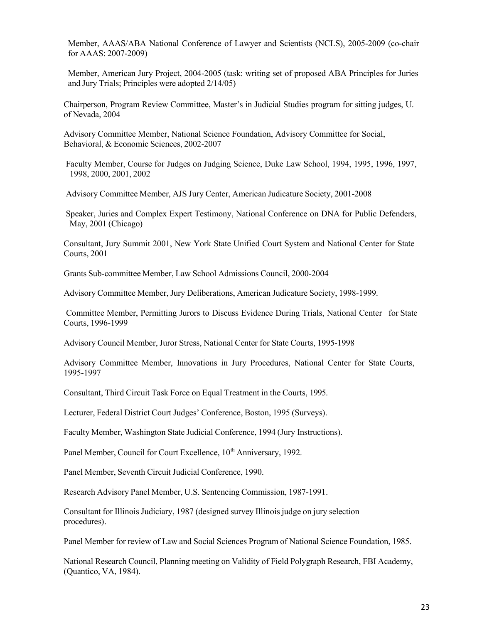Member, AAAS/ABA National Conference of Lawyer and Scientists (NCLS), 2005-2009 (co-chair for AAAS: 2007-2009)

Member, American Jury Project, 2004-2005 (task: writing set of proposed ABA Principles for Juries and Jury Trials; Principles were adopted 2/14/05)

Chairperson, Program Review Committee, Master's in Judicial Studies program for sitting judges, U. of Nevada, 2004

Advisory Committee Member, National Science Foundation, Advisory Committee for Social, Behavioral, & Economic Sciences, 2002-2007

 Faculty Member, Course for Judges on Judging Science, Duke Law School, 1994, 1995, 1996, 1997, 1998, 2000, 2001, 2002

Advisory Committee Member, AJS Jury Center, American Judicature Society, 2001-2008

 Speaker, Juries and Complex Expert Testimony, National Conference on DNA for Public Defenders, May, 2001 (Chicago)

Consultant, Jury Summit 2001, New York State Unified Court System and National Center for State Courts, 2001

Grants Sub-committee Member, Law School Admissions Council, 2000-2004

Advisory Committee Member, Jury Deliberations, American Judicature Society, 1998-1999.

Committee Member, Permitting Jurors to Discuss Evidence During Trials, National Center for State Courts, 1996-1999

Advisory Council Member, Juror Stress, National Center for State Courts, 1995-1998

Advisory Committee Member, Innovations in Jury Procedures, National Center for State Courts, 1995-1997

Consultant, Third Circuit Task Force on Equal Treatment in the Courts, 1995.

Lecturer, Federal District Court Judges' Conference, Boston, 1995 (Surveys).

Faculty Member, Washington State Judicial Conference, 1994 (Jury Instructions).

Panel Member, Council for Court Excellence, 10<sup>th</sup> Anniversary, 1992.

Panel Member, Seventh Circuit Judicial Conference, 1990.

Research Advisory Panel Member, U.S. Sentencing Commission, 1987-1991.

Consultant for Illinois Judiciary, 1987 (designed survey Illinois judge on jury selection procedures).

Panel Member for review of Law and Social Sciences Program of National Science Foundation, 1985.

National Research Council, Planning meeting on Validity of Field Polygraph Research, FBI Academy, (Quantico, VA, 1984).